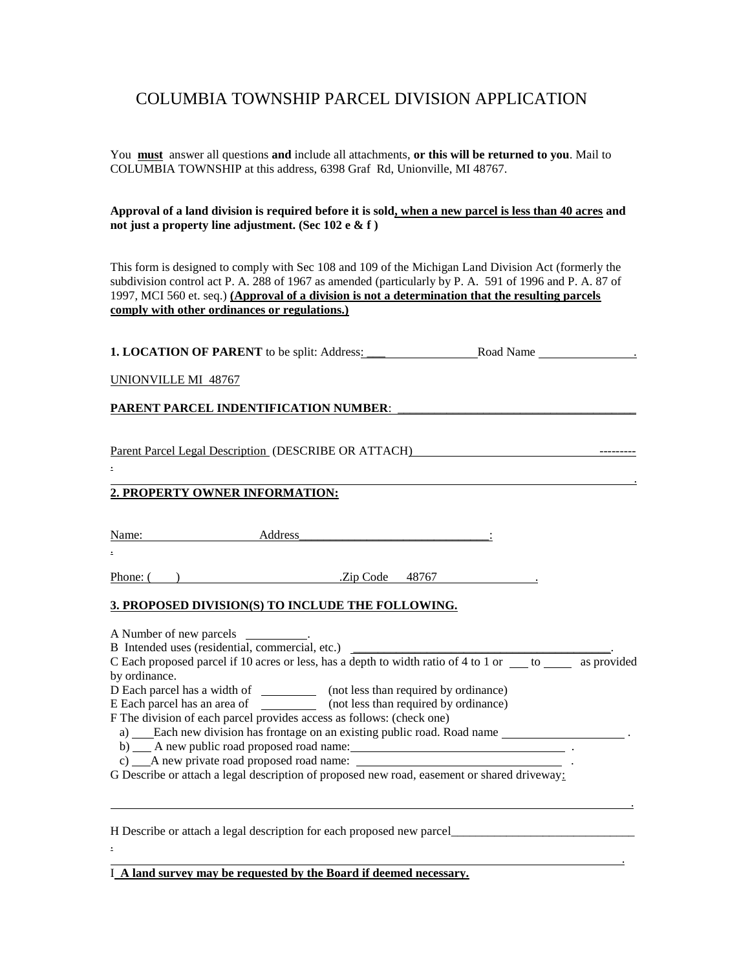## COLUMBIA TOWNSHIP PARCEL DIVISION APPLICATION

You **must** answer all questions **and** include all attachments, **or this will be returned to you**. Mail to COLUMBIA TOWNSHIP at this address, 6398 Graf Rd, Unionville, MI 48767.

**Approval of a land division is required before it is sold, when a new parcel is less than 40 acres and not just a property line adjustment. (Sec 102 e & f )**

This form is designed to comply with Sec 108 and 109 of the Michigan Land Division Act (formerly the subdivision control act P. A. 288 of 1967 as amended (particularly by P. A. 591 of 1996 and P. A. 87 of 1997, MCI 560 et. seq.) **(Approval of a division is not a determination that the resulting parcels comply with other ordinances or regulations.)**

**1. LOCATION OF PARENT** to be split: Address: \_\_\_ Road Name \_\_\_\_\_\_\_\_\_\_\_\_\_\_\_\_\_\_\_\_\_

UNIONVILLE MI 48767

PARENT PARCEL INDENTIFICATION NUMBER:

Parent Parcel Legal Description (DESCRIBE OR ATTACH) ---------

## . **2. PROPERTY OWNER INFORMATION:**

Name: Address : Andress : Address : Address : Address : 1

Phone: ( ) .Zip Code 48767 .

.

.

## **3. PROPOSED DIVISION(S) TO INCLUDE THE FOLLOWING.**

| A Number of new parcels ____________.                                                                                |  |
|----------------------------------------------------------------------------------------------------------------------|--|
| B Intended uses (residential, commercial, etc.)                                                                      |  |
| C Each proposed parcel if 10 acres or less, has a depth to width ratio of 4 to 1 or $\qquad$ to $\qquad$ as provided |  |
| by ordinance.                                                                                                        |  |
| D Each parcel has a width of _____________ (not less than required by ordinance)                                     |  |
| E Each parcel has an area of ______________ (not less than required by ordinance)                                    |  |
| F The division of each parcel provides access as follows: (check one)                                                |  |
| a) Each new division has frontage on an existing public road. Road name                                              |  |
| b) A new public road proposed road name:                                                                             |  |
|                                                                                                                      |  |
| G Describe or attach a legal description of proposed new road, easement or shared driveway:                          |  |
|                                                                                                                      |  |
|                                                                                                                      |  |
|                                                                                                                      |  |
| H Describe or attach a legal description for each proposed new parcel                                                |  |
|                                                                                                                      |  |
|                                                                                                                      |  |

I **A land survey may be requested by the Board if deemed necessary.**